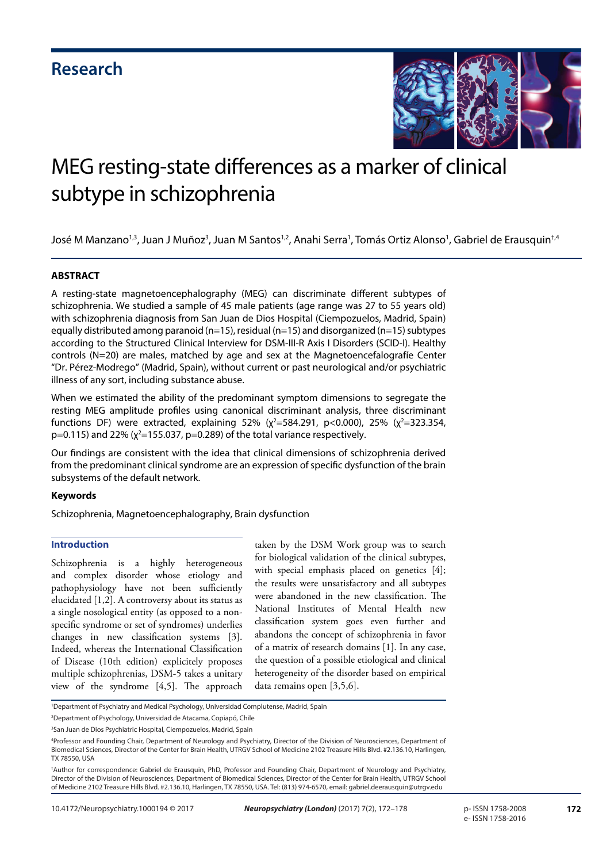

# MEG resting-state differences as a marker of clinical subtype in schizophrenia

José M Manzano<sup>1,3</sup>, Juan J Muñoz<sup>3</sup>, Juan M Santos<sup>1,2</sup>, Anahi Serra<sup>1</sup>, Tomás Ortiz Alonso<sup>1</sup>, Gabriel de Erausquin<sup>†,4</sup>

#### **ABSTRACT**

A resting-state magnetoencephalography (MEG) can discriminate different subtypes of schizophrenia. We studied a sample of 45 male patients (age range was 27 to 55 years old) with schizophrenia diagnosis from San Juan de Dios Hospital (Ciempozuelos, Madrid, Spain) equally distributed among paranoid (n=15), residual (n=15) and disorganized (n=15) subtypes according to the Structured Clinical Interview for DSM-III-R Axis I Disorders (SCID-I). Healthy controls (N=20) are males, matched by age and sex at the Magnetoencefalografíe Center "Dr. Pérez-Modrego" (Madrid, Spain), without current or past neurological and/or psychiatric illness of any sort, including substance abuse.

When we estimated the ability of the predominant symptom dimensions to segregate the resting MEG amplitude profiles using canonical discriminant analysis, three discriminant functions DF) were extracted, explaining 52% ( $\chi^2$ =584.291, p<0.000), 25% ( $\chi^2$ =323.354, p=0.115) and 22% ( $\chi^2$ =155.037, p=0.289) of the total variance respectively.

Our findings are consistent with the idea that clinical dimensions of schizophrenia derived from the predominant clinical syndrome are an expression of specific dysfunction of the brain subsystems of the default network.

#### **Keywords**

Schizophrenia, Magnetoencephalography, Brain dysfunction

#### **Introduction**

Schizophrenia is a highly heterogeneous and complex disorder whose etiology and pathophysiology have not been sufficiently elucidated [1,2]. A controversy about its status as a single nosological entity (as opposed to a nonspecific syndrome or set of syndromes) underlies changes in new classification systems [3]. Indeed, whereas the International Classification of Disease (10th edition) explicitely proposes multiple schizophrenias, DSM-5 takes a unitary view of the syndrome [4,5]. The approach taken by the DSM Work group was to search for biological validation of the clinical subtypes, with special emphasis placed on genetics [4]; the results were unsatisfactory and all subtypes were abandoned in the new classification. The National Institutes of Mental Health new classification system goes even further and abandons the concept of schizophrenia in favor of a matrix of research domains [1]. In any case, the question of a possible etiological and clinical heterogeneity of the disorder based on empirical data remains open [3,5,6].

<sup>1</sup> Department of Psychiatry and Medical Psychology, Universidad Complutense, Madrid, Spain

<sup>2</sup> Department of Psychology, Universidad de Atacama, Copiapó, Chile

<sup>&</sup>lt;sup>3</sup>San Juan de Dios Psychiatric Hospital, Ciempozuelos, Madrid, Spain

<sup>4</sup> Professor and Founding Chair, Department of Neurology and Psychiatry, Director of the Division of Neurosciences, Department of Biomedical Sciences, Director of the Center for Brain Health, UTRGV School of Medicine 2102 Treasure Hills Blvd. #2.136.10, Harlingen, TX 78550, USA

<sup>†</sup> Author for correspondence: Gabriel de Erausquin, PhD, Professor and Founding Chair, Department of Neurology and Psychiatry, Director of the Division of Neurosciences, Department of Biomedical Sciences, Director of the Center for Brain Health, UTRGV School of Medicine 2102 Treasure Hills Blvd. #2.136.10, Harlingen, TX 78550, USA. Tel: (813) 974-6570, email: gabriel.deerausquin@utrgv.edu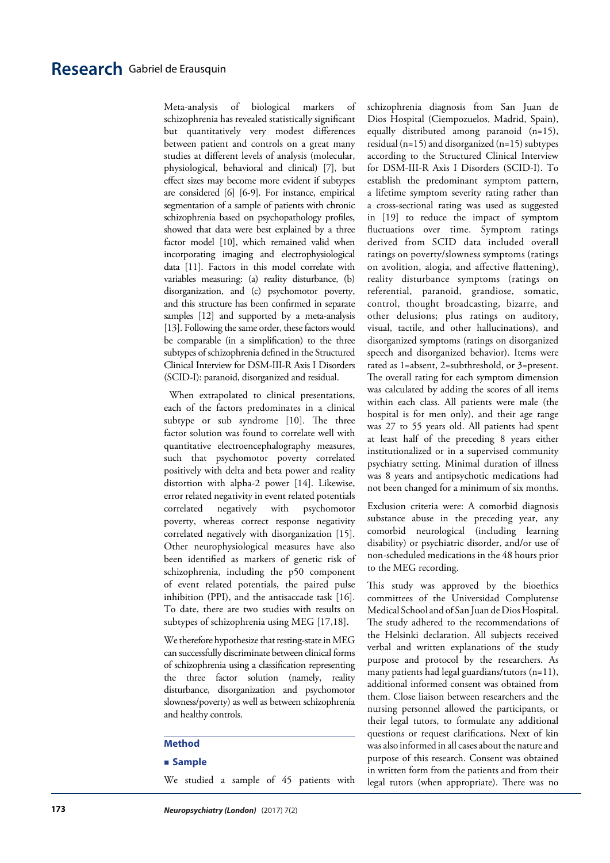# **Research** Gabriel de Erausquin

Meta-analysis of biological markers of schizophrenia has revealed statistically significant but quantitatively very modest differences between patient and controls on a great many studies at different levels of analysis (molecular, physiological, behavioral and clinical) [7], but effect sizes may become more evident if subtypes are considered [6] [6-9]. For instance, empirical segmentation of a sample of patients with chronic schizophrenia based on psychopathology profiles, showed that data were best explained by a three factor model [10], which remained valid when incorporating imaging and electrophysiological data [11]. Factors in this model correlate with variables measuring: (a) reality disturbance, (b) disorganization, and (c) psychomotor poverty, and this structure has been confirmed in separate samples [12] and supported by a meta-analysis [13]. Following the same order, these factors would be comparable (in a simplification) to the three subtypes of schizophrenia defined in the Structured Clinical Interview for DSM-III-R Axis I Disorders (SCID-I): paranoid, disorganized and residual.

 When extrapolated to clinical presentations, each of the factors predominates in a clinical subtype or sub syndrome [10]. The three factor solution was found to correlate well with quantitative electroencephalography measures, such that psychomotor poverty correlated positively with delta and beta power and reality distortion with alpha-2 power [14]. Likewise, error related negativity in event related potentials correlated negatively with psychomotor poverty, whereas correct response negativity correlated negatively with disorganization [15]. Other neurophysiological measures have also been identified as markers of genetic risk of schizophrenia, including the p50 component of event related potentials, the paired pulse inhibition (PPI), and the antisaccade task [16]. To date, there are two studies with results on subtypes of schizophrenia using MEG [17,18].

We therefore hypothesize that resting-state in MEG can successfully discriminate between clinical forms of schizophrenia using a classification representing the three factor solution (namely, reality disturbance, disorganization and psychomotor slowness/poverty) as well as between schizophrenia and healthy controls.

#### **Method**

#### **Sample**

We studied a sample of 45 patients with

schizophrenia diagnosis from San Juan de Dios Hospital (Ciempozuelos, Madrid, Spain), equally distributed among paranoid (n=15), residual (n=15) and disorganized (n=15) subtypes according to the Structured Clinical Interview for DSM-III-R Axis I Disorders (SCID-I). To establish the predominant symptom pattern, a lifetime symptom severity rating rather than a cross-sectional rating was used as suggested in [19] to reduce the impact of symptom fluctuations over time. Symptom ratings derived from SCID data included overall ratings on poverty/slowness symptoms (ratings on avolition, alogia, and affective flattening), reality disturbance symptoms (ratings on referential, paranoid, grandiose, somatic, control, thought broadcasting, bizarre, and other delusions; plus ratings on auditory, visual, tactile, and other hallucinations), and disorganized symptoms (ratings on disorganized speech and disorganized behavior). Items were rated as 1=absent, 2=subthreshold, or 3=present. The overall rating for each symptom dimension was calculated by adding the scores of all items within each class. All patients were male (the hospital is for men only), and their age range was 27 to 55 years old. All patients had spent at least half of the preceding 8 years either institutionalized or in a supervised community psychiatry setting. Minimal duration of illness was 8 years and antipsychotic medications had not been changed for a minimum of six months.

Exclusion criteria were: A comorbid diagnosis substance abuse in the preceding year, any comorbid neurological (including learning disability) or psychiatric disorder, and/or use of non-scheduled medications in the 48 hours prior to the MEG recording.

This study was approved by the bioethics committees of the Universidad Complutense Medical School and of San Juan de Dios Hospital. The study adhered to the recommendations of the Helsinki declaration. All subjects received verbal and written explanations of the study purpose and protocol by the researchers. As many patients had legal guardians/tutors (n=11), additional informed consent was obtained from them. Close liaison between researchers and the nursing personnel allowed the participants, or their legal tutors, to formulate any additional questions or request clarifications. Next of kin was also informed in all cases about the nature and purpose of this research. Consent was obtained in written form from the patients and from their legal tutors (when appropriate). There was no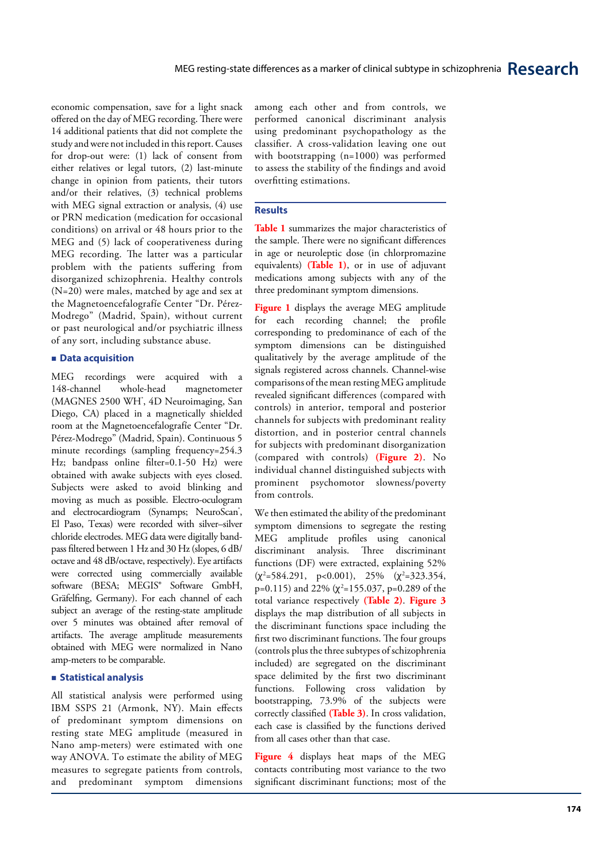economic compensation, save for a light snack offered on the day of MEG recording. There were 14 additional patients that did not complete the study and were not included in this report. Causes for drop-out were: (1) lack of consent from either relatives or legal tutors, (2) last-minute change in opinion from patients, their tutors and/or their relatives, (3) technical problems with MEG signal extraction or analysis, (4) use or PRN medication (medication for occasional conditions) on arrival or 48 hours prior to the MEG and (5) lack of cooperativeness during MEG recording. The latter was a particular problem with the patients suffering from disorganized schizophrenia. Healthy controls (N=20) were males, matched by age and sex at the Magnetoencefalografíe Center "Dr. Pérez-Modrego" (Madrid, Spain), without current or past neurological and/or psychiatric illness of any sort, including substance abuse.

#### **Data acquisition**

MEG recordings were acquired with a<br>148-channel whole-head magnetometer 148-channel whole-head magnetometer (MAGNES 2500 WH<sup>\*</sup>, 4D Neuroimaging, San Diego, CA) placed in a magnetically shielded room at the Magnetoencefalografíe Center "Dr. Pérez-Modrego" (Madrid, Spain). Continuous 5 minute recordings (sampling frequency=254.3) Hz; bandpass online filter=0.1-50 Hz) were obtained with awake subjects with eyes closed. Subjects were asked to avoid blinking and moving as much as possible. Electro-oculogram and electrocardiogram (Synamps; NeuroScan<sup>\*</sup>, El Paso, Texas) were recorded with silver–silver chloride electrodes. MEG data were digitally bandpass filtered between 1 Hz and 30 Hz (slopes, 6 dB/ octave and 48 dB/octave, respectively). Eye artifacts were corrected using commercially available software (BESA; MEGIS® Software GmbH, Gräfelfing, Germany). For each channel of each subject an average of the resting-state amplitude over 5 minutes was obtained after removal of artifacts. The average amplitude measurements obtained with MEG were normalized in Nano amp-meters to be comparable.

#### **Statistical analysis**

All statistical analysis were performed using IBM SSPS 21 (Armonk, NY). Main effects of predominant symptom dimensions on resting state MEG amplitude (measured in Nano amp-meters) were estimated with one way ANOVA. To estimate the ability of MEG measures to segregate patients from controls, and predominant symptom dimensions

among each other and from controls, we performed canonical discriminant analysis using predominant psychopathology as the classifier. A cross-validation leaving one out with bootstrapping (n=1000) was performed to assess the stability of the findings and avoid overfitting estimations.

#### **Results**

**Table 1** summarizes the major characteristics of the sample. There were no significant differences in age or neuroleptic dose (in chlorpromazine equivalents) **(Table 1)**, or in use of adjuvant medications among subjects with any of the three predominant symptom dimensions.

**Figure 1** displays the average MEG amplitude for each recording channel; the profile corresponding to predominance of each of the symptom dimensions can be distinguished qualitatively by the average amplitude of the signals registered across channels. Channel-wise comparisons of the mean resting MEG amplitude revealed significant differences (compared with controls) in anterior, temporal and posterior channels for subjects with predominant reality distortion, and in posterior central channels for subjects with predominant disorganization (compared with controls) **(Figure 2)**. No individual channel distinguished subjects with prominent psychomotor slowness/poverty from controls.

We then estimated the ability of the predominant symptom dimensions to segregate the resting MEG amplitude profiles using canonical discriminant analysis. Three discriminant functions (DF) were extracted, explaining 52%<br>( $\chi^2$ =584.291, p<0.001), 25% ( $\chi^2$ =323.354, p=0.115) and 22% ( χ 2 =155.037, p=0.289 of the total variance respectively **(Table 2)**. **Figure 3** displays the map distribution of all subjects in the discriminant functions space including the first two discriminant functions. The four groups (controls plus the three subtypes of schizophrenia included) are segregated on the discriminant space delimited by the first two discriminant functions. Following cross validation by bootstrapping, 73.9% of the subjects were correctly classified **(Table 3)**. In cross validation, each case is classified by the functions derived from all cases other than that case.

**Figure 4** displays heat maps of the MEG contacts contributing most variance to the two significant discriminant functions; most of the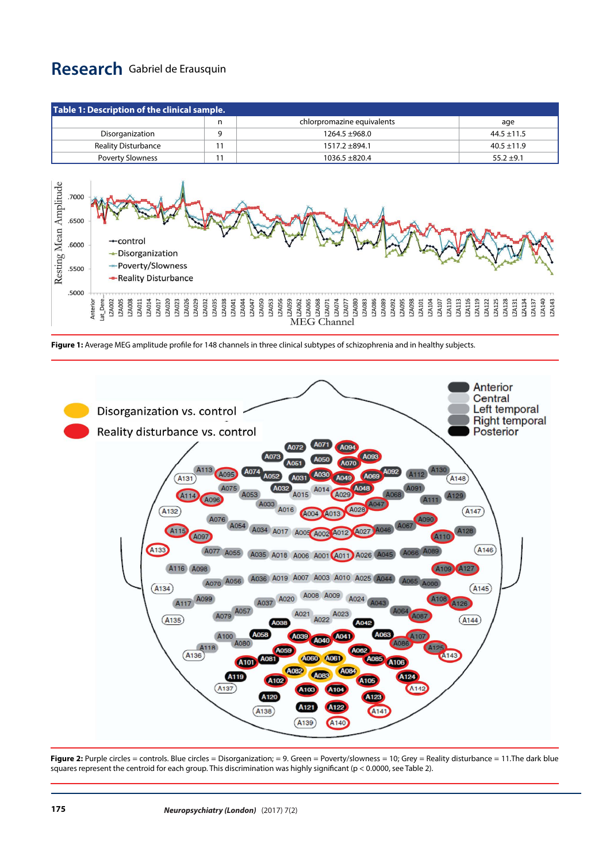# **Research** Gabriel de Erausquin

| Table 1: Description of the clinical sample.                        |                                                                                                                 |                                 |                                                                                                                                                                                                                                       |                                                                         |  |  |  |
|---------------------------------------------------------------------|-----------------------------------------------------------------------------------------------------------------|---------------------------------|---------------------------------------------------------------------------------------------------------------------------------------------------------------------------------------------------------------------------------------|-------------------------------------------------------------------------|--|--|--|
|                                                                     |                                                                                                                 | n                               | chlorpromazine equivalents                                                                                                                                                                                                            | age                                                                     |  |  |  |
|                                                                     | Disorganization                                                                                                 | 9                               | 1264.5 ±968.0                                                                                                                                                                                                                         | $44.5 \pm 11.5$                                                         |  |  |  |
| <b>Reality Disturbance</b>                                          |                                                                                                                 | 11                              | 1517.2 ±894.1                                                                                                                                                                                                                         | $40.5 \pm 11.9$                                                         |  |  |  |
|                                                                     | <b>Poverty Slowness</b>                                                                                         | 11                              | 1036.5 ±820.4                                                                                                                                                                                                                         | $55.2 \pm 9.1$                                                          |  |  |  |
| Resting Mean Amplitude<br>.7000<br>.6500<br>.6000<br>.5500<br>.5000 | $\leftarrow$ control<br>$\rightarrow$ Disorganization<br>- Poverty/Slowness<br>-Reality Disturbance             |                                 |                                                                                                                                                                                                                                       |                                                                         |  |  |  |
|                                                                     | at Dere<br>Anterior<br>LZA005<br>LZA008<br>ZA002<br>ZA020<br>ZA023<br>ZA026<br>ZA029<br>ZA011<br>ZA014<br>ZA017 | ZA032<br>ZA035<br>ZA038<br>A041 | ZA056<br>ZA050<br>ZA059<br>ZA080<br>LZA083<br>LZA086<br>LZA089<br>LZA092<br>ZA062<br>ZA065<br><b>ZA068</b><br>7A095<br>7A098<br>7A101<br>7A107<br>7A107<br>ZA044<br>ZA053<br>ZA047<br>ZA071<br>ZA074<br>ZA113<br>ZA077<br>MEG Channel | A140<br>ZA116<br>ZA119<br>A128<br>ZA122<br>A125<br>A134<br>A131<br>A137 |  |  |  |

**Figure 1:** Average MEG amplitude profile for 148 channels in three clinical subtypes of schizophrenia and in healthy subjects.



**Figure 2:** Purple circles = controls. Blue circles = Disorganization; = 9. Green = Poverty/slowness = 10; Grey = Reality disturbance = 11. The dark blue squares represent the centroid for each group. This discrimination was highly significant (p < 0.0000, see Table 2).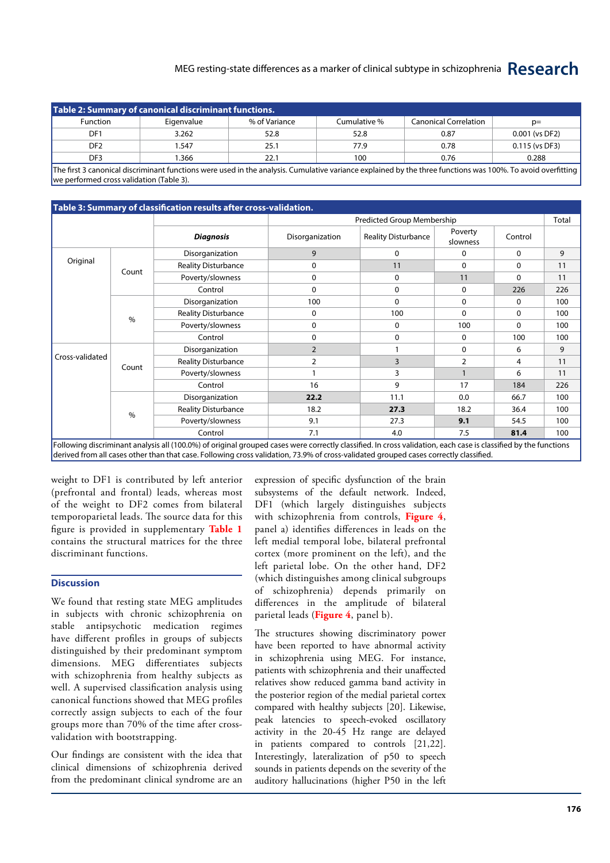### MEG resting-state differences as a marker of clinical subtype in schizophrenia **Research**

| Table 2: Summary of canonical discriminant functions. |            |               |              |                              |                |  |  |  |  |  |
|-------------------------------------------------------|------------|---------------|--------------|------------------------------|----------------|--|--|--|--|--|
| <b>Function</b>                                       | Eigenvalue | % of Variance | Cumulative % | <b>Canonical Correlation</b> | $p=$           |  |  |  |  |  |
| DF <sub>1</sub>                                       | 3.262      | 52.8          | 52.8         | 0.87                         | 0.001 (vs DF2) |  |  |  |  |  |
| DF <sub>2</sub>                                       | .547       | 25.1          | 77.9         | 0.78                         | 0.115 (vs DF3) |  |  |  |  |  |
| DF <sub>3</sub>                                       | .366       | 22.1          | 100          | 0.76                         | 0.288          |  |  |  |  |  |

The first 3 canonical discriminant functions were used in the analysis. Cumulative variance explained by the three functions was 100%. To avoid overfitting we performed cross validation (Table 3).

## **Table 3: Summary of classification results after cross-validation.**

|                 |       | Predicted Group Membership |                 |                            |                     | Total        |     |
|-----------------|-------|----------------------------|-----------------|----------------------------|---------------------|--------------|-----|
|                 |       | <b>Diagnosis</b>           | Disorganization | <b>Reality Disturbance</b> | Poverty<br>slowness | Control      |     |
| Original        | Count | Disorganization            | 9               | $\mathbf{0}$               | 0                   | $\mathbf{0}$ | 9   |
|                 |       | <b>Reality Disturbance</b> | 0               | 11                         | 0                   | 0            | 11  |
|                 |       | Poverty/slowness           | 0               | 0                          | 11                  | 0            | 11  |
|                 |       | Control                    | 0               | $\mathbf{0}$               | $\mathbf 0$         | 226          | 226 |
|                 | $\%$  | Disorganization            | 100             | $\mathbf{0}$               | 0                   | 0            | 100 |
|                 |       | <b>Reality Disturbance</b> | 0               | 100                        | $\mathbf 0$         | 0            | 100 |
|                 |       | Poverty/slowness           | 0               | $\Omega$                   | 100                 | $\mathbf{0}$ | 100 |
|                 |       | Control                    | 0               | $\Omega$                   | 0                   | 100          | 100 |
|                 | Count | Disorganization            | $\overline{2}$  |                            | 0                   | 6            | 9   |
| Cross-validated |       | <b>Reality Disturbance</b> | $\overline{2}$  | 3                          | 2                   | 4            | 11  |
|                 |       | Poverty/slowness           |                 | 3                          |                     | 6            | 11  |
|                 |       | Control                    | 16              | 9                          | 17                  | 184          | 226 |
|                 | $\%$  | Disorganization            | 22.2            | 11.1                       | 0.0                 | 66.7         | 100 |
|                 |       | <b>Reality Disturbance</b> | 18.2            | 27.3                       | 18.2                | 36.4         | 100 |
|                 |       | Poverty/slowness           | 9.1             | 27.3                       | 9.1                 | 54.5         | 100 |
|                 |       | Control                    | 7.1             | 4.0                        | 7.5                 | 81.4         | 100 |

Following discriminant analysis all (100.0%) of original grouped cases were correctly classified. In cross validation, each case is classified by the functions derived from all cases other than that case. Following cross validation, 73.9% of cross-validated grouped cases correctly classified.

weight to DF1 is contributed by left anterior (prefrontal and frontal) leads, whereas most of the weight to DF2 comes from bilateral temporoparietal leads. The source data for this figure is provided in supplementary **Table 1**  contains the structural matrices for the three discriminant functions.

#### **Discussion**

We found that resting state MEG amplitudes in subjects with chronic schizophrenia on stable antipsychotic medication regimes have different profiles in groups of subjects distinguished by their predominant symptom dimensions. MEG differentiates subjects with schizophrenia from healthy subjects as well. A supervised classification analysis using canonical functions showed that MEG profiles correctly assign subjects to each of the four groups more than 70% of the time after crossvalidation with bootstrapping.

Our findings are consistent with the idea that clinical dimensions of schizophrenia derived from the predominant clinical syndrome are an expression of specific dysfunction of the brain subsystems of the default network. Indeed, DF1 (which largely distinguishes subjects with schizophrenia from controls, **Figure 4**, panel a) identifies differences in leads on the left medial temporal lobe, bilateral prefrontal cortex (more prominent on the left), and the left parietal lobe. On the other hand, DF2 (which distinguishes among clinical subgroups of schizophrenia) depends primarily on differences in the amplitude of bilateral parietal leads (**Figure 4**, panel b).

The structures showing discriminatory power have been reported to have abnormal activity in schizophrenia using MEG. For instance, patients with schizophrenia and their unaffected relatives show reduced gamma band activity in the posterior region of the medial parietal cortex compared with healthy subjects [20]. Likewise, peak latencies to speech-evoked oscillatory activity in the 20-45 Hz range are delayed in patients compared to controls [21,22]. Interestingly, lateralization of p50 to speech sounds in patients depends on the severity of the auditory hallucinations (higher P50 in the left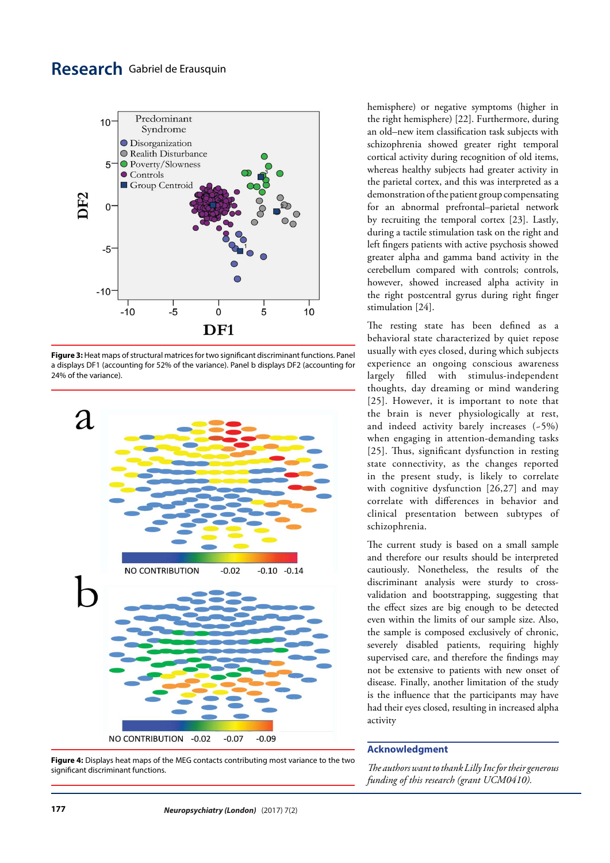# **Research** Gabriel de Erausquin



**Figure 3:** Heat maps of structural matrices for two significant discriminant functions. Panel a displays DF1 (accounting for 52% of the variance). Panel b displays DF2 (accounting for 24% of the variance).



**Figure 4:** Displays heat maps of the MEG contacts contributing most variance to the two significant discriminant functions.

hemisphere) or negative symptoms (higher in the right hemisphere) [22]. Furthermore, during an old–new item classification task subjects with schizophrenia showed greater right temporal cortical activity during recognition of old items, whereas healthy subjects had greater activity in the parietal cortex, and this was interpreted as a demonstration of the patient group compensating for an abnormal prefrontal–parietal network by recruiting the temporal cortex [23]. Lastly, during a tactile stimulation task on the right and left fingers patients with active psychosis showed greater alpha and gamma band activity in the cerebellum compared with controls; controls, however, showed increased alpha activity in the right postcentral gyrus during right finger stimulation [24].

The resting state has been defined as a behavioral state characterized by quiet repose usually with eyes closed, during which subjects experience an ongoing conscious awareness largely filled with stimulus-independent thoughts, day dreaming or mind wandering [25]. However, it is important to note that the brain is never physiologically at rest, and indeed activity barely increases (~5%) when engaging in attention-demanding tasks [25]. Thus, significant dysfunction in resting state connectivity, as the changes reported in the present study, is likely to correlate with cognitive dysfunction [26,27] and may correlate with differences in behavior and clinical presentation between subtypes of schizophrenia.

The current study is based on a small sample and therefore our results should be interpreted cautiously. Nonetheless, the results of the discriminant analysis were sturdy to crossvalidation and bootstrapping, suggesting that the effect sizes are big enough to be detected even within the limits of our sample size. Also, the sample is composed exclusively of chronic, severely disabled patients, requiring highly supervised care, and therefore the findings may not be extensive to patients with new onset of disease. Finally, another limitation of the study is the influence that the participants may have had their eyes closed, resulting in increased alpha activity

#### **Acknowledgment**

*The authors want to thank Lilly Inc for their generous funding of this research (grant UCM0410).*